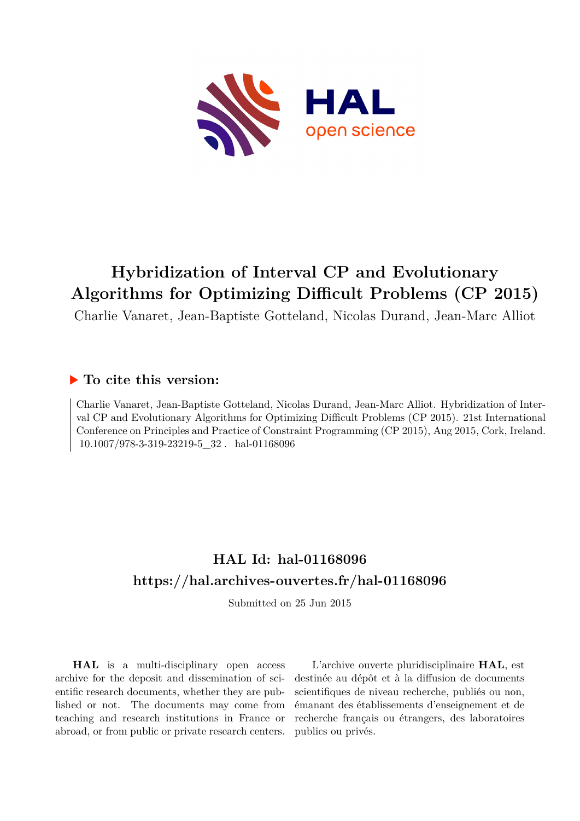

# **Hybridization of Interval CP and Evolutionary Algorithms for Optimizing Difficult Problems (CP 2015)**

Charlie Vanaret, Jean-Baptiste Gotteland, Nicolas Durand, Jean-Marc Alliot

# **To cite this version:**

Charlie Vanaret, Jean-Baptiste Gotteland, Nicolas Durand, Jean-Marc Alliot. Hybridization of Interval CP and Evolutionary Algorithms for Optimizing Difficult Problems (CP 2015). 21st International Conference on Principles and Practice of Constraint Programming (CP 2015), Aug 2015, Cork, Ireland.  $10.1007/978-3-319-23219-5$  32 hal-01168096

# **HAL Id: hal-01168096 <https://hal.archives-ouvertes.fr/hal-01168096>**

Submitted on 25 Jun 2015

**HAL** is a multi-disciplinary open access archive for the deposit and dissemination of scientific research documents, whether they are published or not. The documents may come from teaching and research institutions in France or abroad, or from public or private research centers.

L'archive ouverte pluridisciplinaire **HAL**, est destinée au dépôt et à la diffusion de documents scientifiques de niveau recherche, publiés ou non, émanant des établissements d'enseignement et de recherche français ou étrangers, des laboratoires publics ou privés.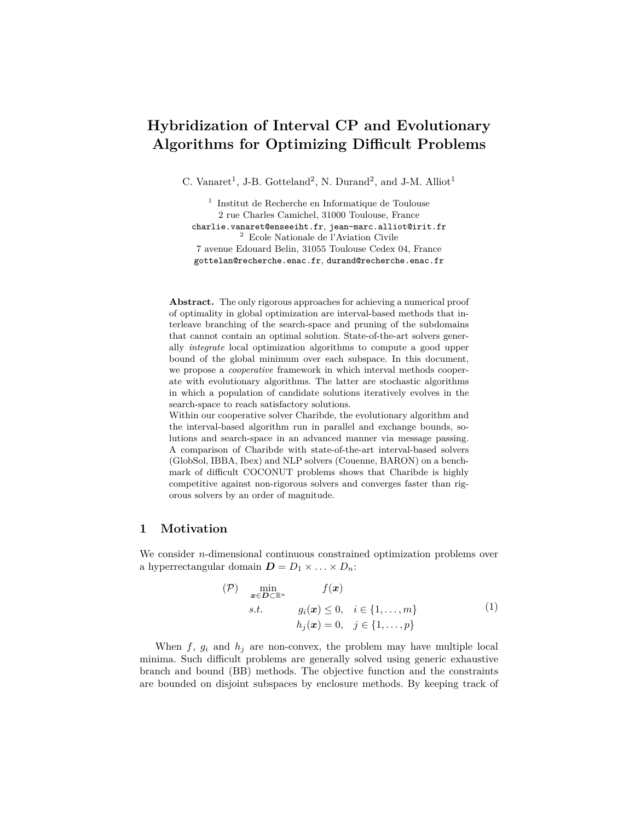# **Hybridization of Interval CP and Evolutionary Algorithms for Optimizing Difficult Problems**

C. Vanaret<sup>1</sup>, J-B. Gotteland<sup>2</sup>, N. Durand<sup>2</sup>, and J-M. Alliot<sup>1</sup>

1 Institut de Recherche en Informatique de Toulouse 2 rue Charles Camichel, 31000 Toulouse, France charlie.vanaret@enseeiht.fr, jean-marc.alliot@irit.fr <sup>2</sup> Ecole Nationale de l'Aviation Civile 7 avenue Edouard Belin, 31055 Toulouse Cedex 04, France gottelan@recherche.enac.fr, durand@recherche.enac.fr

**Abstract.** The only rigorous approaches for achieving a numerical proof of optimality in global optimization are interval-based methods that interleave branching of the search-space and pruning of the subdomains that cannot contain an optimal solution. State-of-the-art solvers generally *integrate* local optimization algorithms to compute a good upper bound of the global minimum over each subspace. In this document, we propose a *cooperative* framework in which interval methods cooperate with evolutionary algorithms. The latter are stochastic algorithms in which a population of candidate solutions iteratively evolves in the search-space to reach satisfactory solutions.

Within our cooperative solver Charibde, the evolutionary algorithm and the interval-based algorithm run in parallel and exchange bounds, solutions and search-space in an advanced manner via message passing. A comparison of Charibde with state-of-the-art interval-based solvers (GlobSol, IBBA, Ibex) and NLP solvers (Couenne, BARON) on a benchmark of difficult COCONUT problems shows that Charibde is highly competitive against non-rigorous solvers and converges faster than rigorous solvers by an order of magnitude.

# **1 Motivation**

We consider *n*-dimensional continuous constrained optimization problems over a hyperrectangular domain  $\mathbf{D} = D_1 \times \ldots \times D_n$ :

$$
(P) \quad \min_{\mathbf{x} \in \mathbf{D} \subset \mathbb{R}^n} \qquad f(\mathbf{x})
$$
  
s.t.  $g_i(\mathbf{x}) \le 0, \quad i \in \{1, ..., m\}$   
 $h_j(\mathbf{x}) = 0, \quad j \in \{1, ..., p\}$  (1)

When  $f, g_i$  and  $h_j$  are non-convex, the problem may have multiple local minima. Such difficult problems are generally solved using generic exhaustive branch and bound (BB) methods. The objective function and the constraints are bounded on disjoint subspaces by enclosure methods. By keeping track of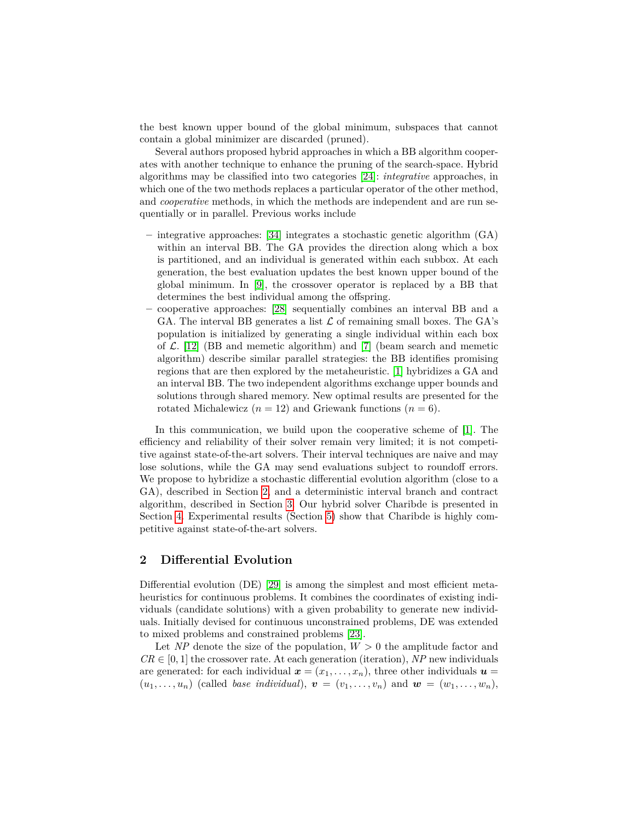the best known upper bound of the global minimum, subspaces that cannot contain a global minimizer are discarded (pruned).

Several authors proposed hybrid approaches in which a BB algorithm cooperates with another technique to enhance the pruning of the search-space. Hybrid algorithms may be classified into two categories [24]: *integrative* approaches, in which one of the two methods replaces a particular operator of the other method, and *cooperative* methods, in which the methods are independent and are run sequentially or in parallel. Previous works include

- **–** integrative approaches: [34] integrates a stochastic genetic algorithm (GA) within an interval BB. The GA provides the direction along which a box is partitioned, and an individual is generated within each subbox. At each generation, the best evaluation updates the best known upper bound of the global minimum. In [9], the crossover operator is replaced by a BB that determines the best individual among the offspring.
- **–** cooperative approaches: [28] sequentially combines an interval BB and a GA. The interval BB generates a list  $\mathcal L$  of remaining small boxes. The GA's population is initialized by generating a single individual within each box of  $\mathcal{L}$ . [12] (BB and memetic algorithm) and [7] (beam search and memetic algorithm) describe similar parallel strategies: the BB identifies promising regions that are then explored by the metaheuristic. [1] hybridizes a GA and an interval BB. The two independent algorithms exchange upper bounds and solutions through shared memory. New optimal results are presented for the rotated Michalewicz  $(n = 12)$  and Griewank functions  $(n = 6)$ .

In this communication, we build upon the cooperative scheme of [1]. The efficiency and reliability of their solver remain very limited; it is not competitive against state-of-the-art solvers. Their interval techniques are naive and may lose solutions, while the GA may send evaluations subject to roundoff errors. We propose to hybridize a stochastic differential evolution algorithm (close to a GA), described in Section 2, and a deterministic interval branch and contract algorithm, described in Section 3. Our hybrid solver Charibde is presented in Section 4. Experimental results (Section 5) show that Charibde is highly competitive against state-of-the-art solvers.

## **2 Differential Evolution**

Differential evolution (DE) [29] is among the simplest and most efficient metaheuristics for continuous problems. It combines the coordinates of existing individuals (candidate solutions) with a given probability to generate new individuals. Initially devised for continuous unconstrained problems, DE was extended to mixed problems and constrained problems [23].

Let *NP* denote the size of the population,  $W > 0$  the amplitude factor and  $CR \in [0, 1]$  the crossover rate. At each generation (iteration), *NP* new individuals are generated: for each individual  $\mathbf{x} = (x_1, \ldots, x_n)$ , three other individuals  $\mathbf{u} =$  $(u_1, \ldots, u_n)$  (called *base individual*),  $\mathbf{v} = (v_1, \ldots, v_n)$  and  $\mathbf{w} = (w_1, \ldots, w_n)$ ,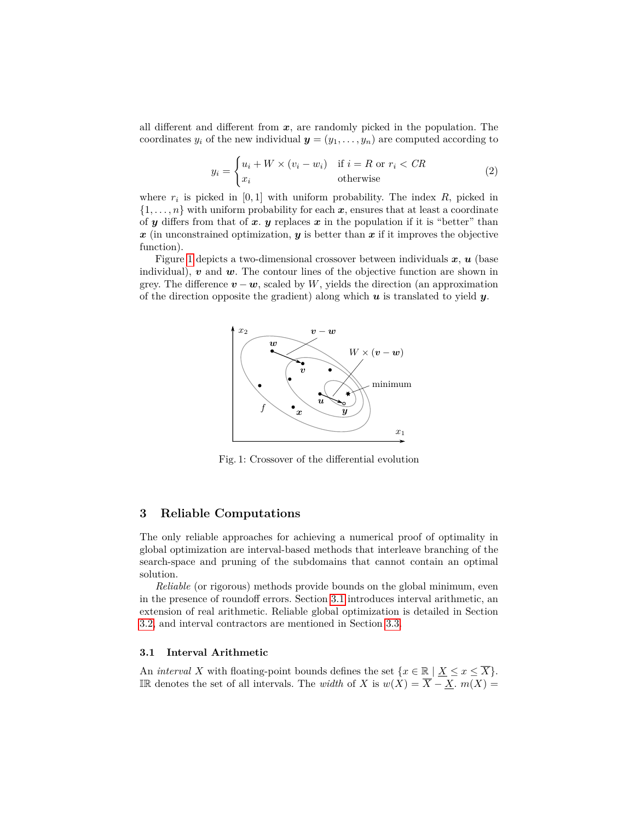all different and different from *x*, are randomly picked in the population. The coordinates  $y_i$  of the new individual  $\mathbf{y} = (y_1, \ldots, y_n)$  are computed according to

$$
y_i = \begin{cases} u_i + W \times (v_i - w_i) & \text{if } i = R \text{ or } r_i < CR \\ x_i & \text{otherwise} \end{cases}
$$
 (2)

where  $r_i$  is picked in  $[0, 1]$  with uniform probability. The index  $R$ , picked in  $\{1, \ldots, n\}$  with uniform probability for each  $x$ , ensures that at least a coordinate of  $y$  differs from that of  $x$ .  $y$  replaces  $x$  in the population if it is "better" than  $x$  (in unconstrained optimization,  $y$  is better than  $x$  if it improves the objective function).

Figure 1 depicts a two-dimensional crossover between individuals *x*, *u* (base individual), *v* and *w*. The contour lines of the objective function are shown in grey. The difference  $\mathbf{v} - \mathbf{w}$ , scaled by *W*, yields the direction (an approximation of the direction opposite the gradient) along which *u* is translated to yield *y*.



Fig. 1: Crossover of the differential evolution

## **3 Reliable Computations**

The only reliable approaches for achieving a numerical proof of optimality in global optimization are interval-based methods that interleave branching of the search-space and pruning of the subdomains that cannot contain an optimal solution.

*Reliable* (or rigorous) methods provide bounds on the global minimum, even in the presence of roundoff errors. Section 3.1 introduces interval arithmetic, an extension of real arithmetic. Reliable global optimization is detailed in Section 3.2, and interval contractors are mentioned in Section 3.3.

#### **3.1 Interval Arithmetic**

An *interval X* with floating-point bounds defines the set  $\{x \in \mathbb{R} \mid \underline{X} \leq x \leq \overline{X}\}.$ IR denotes the set of all intervals. The *width* of *X* is *w*(*X*) = *X* − *X*. *m*(*X*) =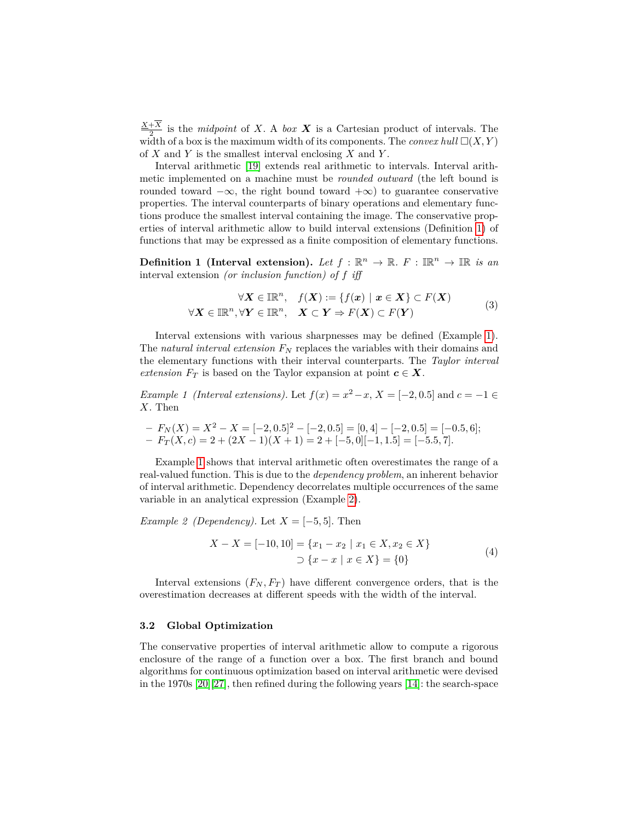*X*+*X*  $\frac{+A}{2}$  is the *midpoint* of *X*. A *box X* is a Cartesian product of intervals. The width of a box is the maximum width of its components. The *convex hull*  $\square(X, Y)$ of *X* and *Y* is the smallest interval enclosing *X* and *Y* .

Interval arithmetic [19] extends real arithmetic to intervals. Interval arithmetic implemented on a machine must be *rounded outward* (the left bound is rounded toward  $-\infty$ , the right bound toward  $+\infty$ ) to guarantee conservative properties. The interval counterparts of binary operations and elementary functions produce the smallest interval containing the image. The conservative properties of interval arithmetic allow to build interval extensions (Definition 1) of functions that may be expressed as a finite composition of elementary functions.

**Definition 1** (Interval extension). Let  $f : \mathbb{R}^n \to \mathbb{R}$ .  $F : \mathbb{R}^n \to \mathbb{R}$  is an interval extension *(or inclusion function) of f iff*

$$
\forall \mathbf{X} \in \mathbb{IR}^n, \quad f(\mathbf{X}) := \{ f(\mathbf{x}) \mid \mathbf{x} \in \mathbf{X} \} \subset F(\mathbf{X})
$$
  

$$
\forall \mathbf{X} \in \mathbb{IR}^n, \forall \mathbf{Y} \in \mathbb{IR}^n, \quad \mathbf{X} \subset \mathbf{Y} \Rightarrow F(\mathbf{X}) \subset F(\mathbf{Y})
$$
 (3)

Interval extensions with various sharpnesses may be defined (Example 1). The *natural interval extension F<sup>N</sup>* replaces the variables with their domains and the elementary functions with their interval counterparts. The *Taylor interval extension*  $F_T$  is based on the Taylor expansion at point  $c \in X$ .

*Example 1 (Interval extensions).* Let  $f(x) = x^2 - x$ ,  $X = [-2, 0.5]$  and  $c = -1 \in$ *X*. Then

$$
- F_N(X) = X^2 - X = [-2, 0.5]^2 - [-2, 0.5] = [0, 4] - [-2, 0.5] = [-0.5, 6];
$$
  

$$
- F_T(X, c) = 2 + (2X - 1)(X + 1) = 2 + [-5, 0][-1, 1.5] = [-5.5, 7].
$$

Example 1 shows that interval arithmetic often overestimates the range of a real-valued function. This is due to the *dependency problem*, an inherent behavior of interval arithmetic. Dependency decorrelates multiple occurrences of the same variable in an analytical expression (Example 2).

*Example 2 (Dependency).* Let  $X = [-5, 5]$ . Then

$$
X - X = [-10, 10] = \{x_1 - x_2 \mid x_1 \in X, x_2 \in X\}
$$
  

$$
\supset \{x - x \mid x \in X\} = \{0\}
$$
 (4)

Interval extensions  $(F_N, F_T)$  have different convergence orders, that is the overestimation decreases at different speeds with the width of the interval.

#### **3.2 Global Optimization**

The conservative properties of interval arithmetic allow to compute a rigorous enclosure of the range of a function over a box. The first branch and bound algorithms for continuous optimization based on interval arithmetic were devised in the 1970s [20][27], then refined during the following years [14]: the search-space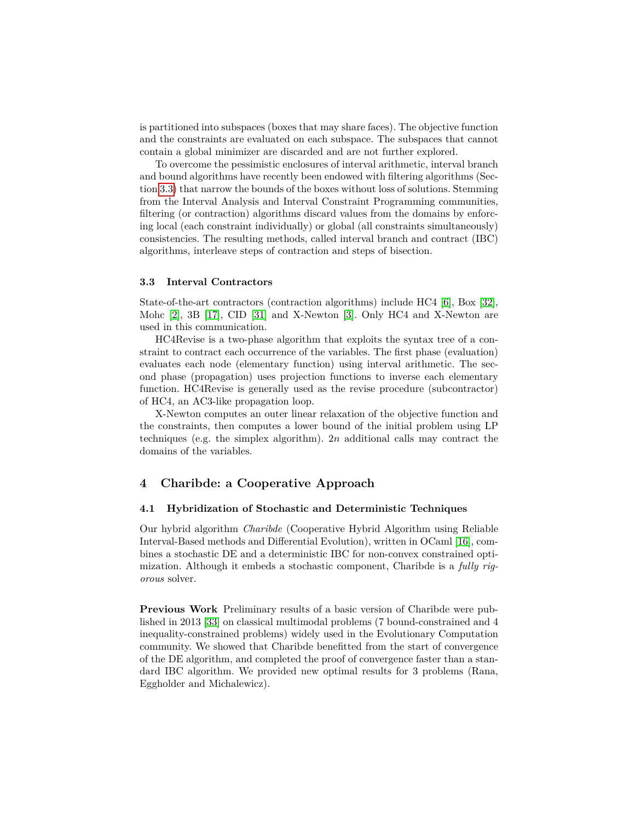is partitioned into subspaces (boxes that may share faces). The objective function and the constraints are evaluated on each subspace. The subspaces that cannot contain a global minimizer are discarded and are not further explored.

To overcome the pessimistic enclosures of interval arithmetic, interval branch and bound algorithms have recently been endowed with filtering algorithms (Section 3.3) that narrow the bounds of the boxes without loss of solutions. Stemming from the Interval Analysis and Interval Constraint Programming communities, filtering (or contraction) algorithms discard values from the domains by enforcing local (each constraint individually) or global (all constraints simultaneously) consistencies. The resulting methods, called interval branch and contract (IBC) algorithms, interleave steps of contraction and steps of bisection.

#### **3.3 Interval Contractors**

State-of-the-art contractors (contraction algorithms) include HC4 [6], Box [32], Mohc [2], 3B [17], CID [31] and X-Newton [3]. Only HC4 and X-Newton are used in this communication.

HC4Revise is a two-phase algorithm that exploits the syntax tree of a constraint to contract each occurrence of the variables. The first phase (evaluation) evaluates each node (elementary function) using interval arithmetic. The second phase (propagation) uses projection functions to inverse each elementary function. HC4Revise is generally used as the revise procedure (subcontractor) of HC4, an AC3-like propagation loop.

X-Newton computes an outer linear relaxation of the objective function and the constraints, then computes a lower bound of the initial problem using LP techniques (e.g. the simplex algorithm). 2*n* additional calls may contract the domains of the variables.

## **4 Charibde: a Cooperative Approach**

#### **4.1 Hybridization of Stochastic and Deterministic Techniques**

Our hybrid algorithm *Charibde* (Cooperative Hybrid Algorithm using Reliable Interval-Based methods and Differential Evolution), written in OCaml [16], combines a stochastic DE and a deterministic IBC for non-convex constrained optimization. Although it embeds a stochastic component, Charibde is a *fully rigorous* solver.

**Previous Work** Preliminary results of a basic version of Charibde were published in 2013 [33] on classical multimodal problems (7 bound-constrained and 4 inequality-constrained problems) widely used in the Evolutionary Computation community. We showed that Charibde benefitted from the start of convergence of the DE algorithm, and completed the proof of convergence faster than a standard IBC algorithm. We provided new optimal results for 3 problems (Rana, Eggholder and Michalewicz).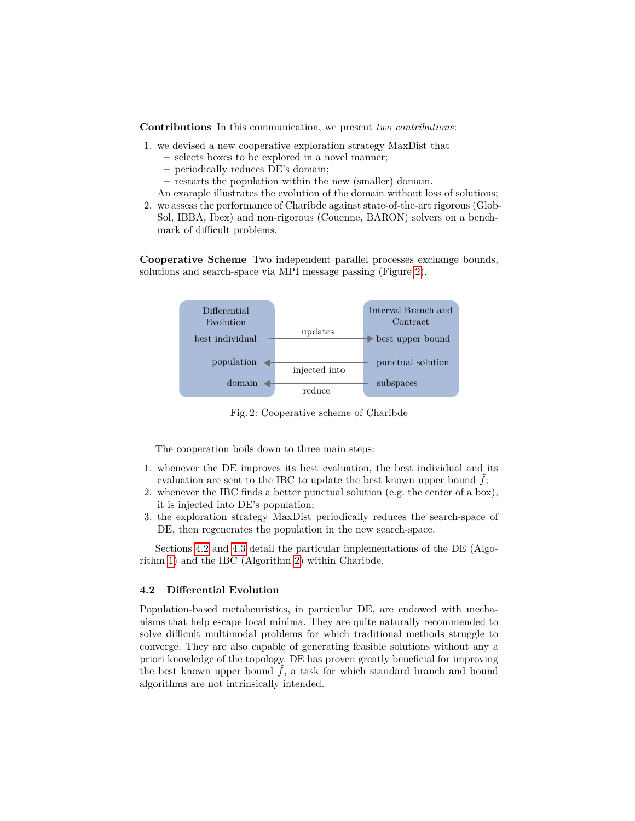**Contributions** In this communication, we present *two contributions*:

- 1. we devised a new cooperative exploration strategy MaxDist that
	- **–** selects boxes to be explored in a novel manner;
	- **–** periodically reduces DE's domain;
	- **–** restarts the population within the new (smaller) domain.
	- An example illustrates the evolution of the domain without loss of solutions;
- 2. we assess the performance of Charibde against state-of-the-art rigorous (Glob-Sol, IBBA, Ibex) and non-rigorous (Couenne, BARON) solvers on a benchmark of difficult problems.

**Cooperative Scheme** Two independent parallel processes exchange bounds, solutions and search-space via MPI message passing (Figure 2).



Fig. 2: Cooperative scheme of Charibde

The cooperation boils down to three main steps:

- 1. whenever the DE improves its best evaluation, the best individual and its evaluation are sent to the IBC to update the best known upper bound  $\tilde{f}$ ;
- 2. whenever the IBC finds a better punctual solution (e.g. the center of a box), it is injected into DE's population;
- 3. the exploration strategy MaxDist periodically reduces the search-space of DE, then regenerates the population in the new search-space.

Sections 4.2 and 4.3 detail the particular implementations of the DE (Algorithm 1) and the IBC (Algorithm 2) within Charibde.

#### **4.2 Differential Evolution**

Population-based metaheuristics, in particular DE, are endowed with mechanisms that help escape local minima. They are quite naturally recommended to solve difficult multimodal problems for which traditional methods struggle to converge. They are also capable of generating feasible solutions without any a priori knowledge of the topology. DE has proven greatly beneficial for improving the best known upper bound  $f$ , a task for which standard branch and bound algorithms are not intrinsically intended.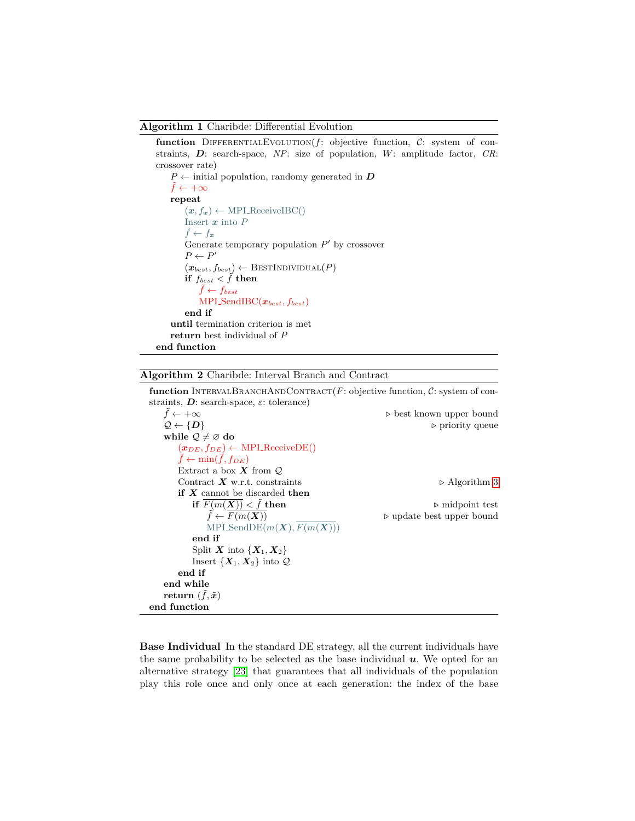#### **Algorithm 1** Charibde: Differential Evolution

**function** DIFFERENTIALEVOLUTION $(f:$  objective function,  $C:$  system of constraints, *D*: search-space, *NP*: size of population, *W*: amplitude factor, *CR*: crossover rate)

```
P \leftarrow initial population, randomy generated in Df ← +∞repeat
        (x, f_x) \leftarrow \text{MPI\_ReceivedBC}()Insert x into P
        \tilde{f} \leftarrow f_{\boldsymbol{x}}Generate temporary population P' by crossover
         P \leftarrow P'(x_{best}, f_{best}) \leftarrow \text{Best}INDIVIDUAL(P)
        if f_{best} < \tilde{f} then
             \tilde{f} \leftarrow f_{best}MPI SendIBC(xbest, fbest)
        end if
    until termination criterion is met
    return best individual of P
end function
```
# **Algorithm 2** Charibde: Interval Branch and Contract

**function** INTERVALBRANCHANDCONTRACT( $F$ : objective function,  $C$ : system of constraints, *D*: search-space, *ε*: tolerance)

```
\tilde{f} \leftarrow +\infty best known upper bound
   Q \leftarrow \{D\} priority queue
   while Q \neq \emptyset do
      (x_{DE}, f_{DE}) \leftarrow \text{MPI\_ReceivedDE}()f \leftarrow \min(f, f_{DE})Extract a box X from QContract X w.r.t. constraints ⊳ Algorithm 3
      if X cannot be discarded then
          if \overline{F(m(X))} < \tilde{f} then \triangleright midpoint test
              \tilde{f} \leftarrow F(m(\boldsymbol{X})) \triangleright update best upper bound
             MPI\_SendDE(m(\boldsymbol{X}), \overline{F(m(\boldsymbol{X}))})end if
          Split X into \{X_1, X_2\}Insert \{X_1, X_2\} into \mathcal Qend if
   end while
   \mathbf{return} \ (\tilde{f}, \tilde{\boldsymbol{x}})end function
```
**Base Individual** In the standard DE strategy, all the current individuals have the same probability to be selected as the base individual  $\boldsymbol{u}$ . We opted for an alternative strategy [23] that guarantees that all individuals of the population play this role once and only once at each generation: the index of the base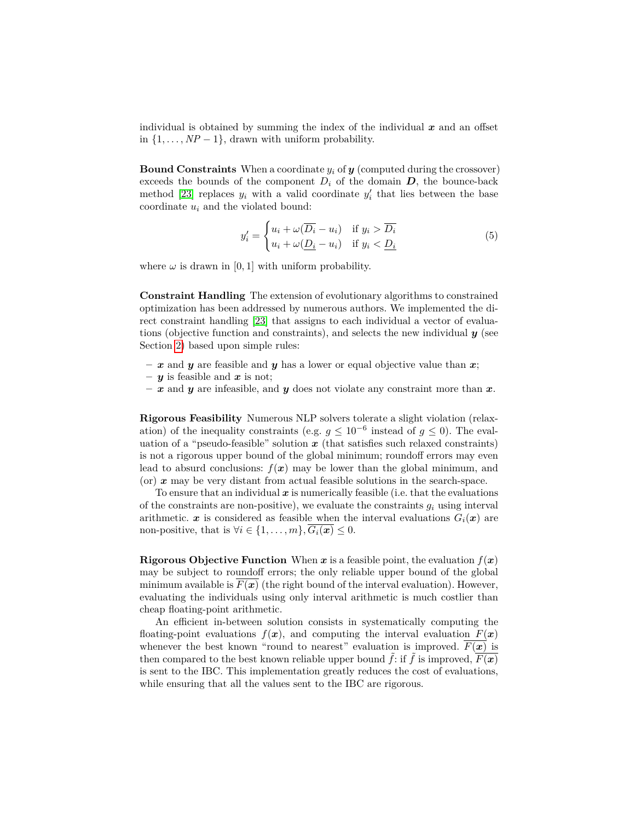individual is obtained by summing the index of the individual *x* and an offset in  $\{1, \ldots, NP-1\}$ , drawn with uniform probability.

**Bound Constraints** When a coordinate *y<sup>i</sup>* of *y* (computed during the crossover) exceeds the bounds of the component  $D_i$  of the domain  $D$ , the bounce-back method [23] replaces  $y_i$  with a valid coordinate  $y'_i$  that lies between the base coordinate *u<sup>i</sup>* and the violated bound:

$$
y_i' = \begin{cases} u_i + \omega(\overline{D_i} - u_i) & \text{if } y_i > \overline{D_i} \\ u_i + \omega(\underline{D_i} - u_i) & \text{if } y_i < \underline{D_i} \end{cases}
$$
(5)

where  $\omega$  is drawn in [0, 1] with uniform probability.

**Constraint Handling** The extension of evolutionary algorithms to constrained optimization has been addressed by numerous authors. We implemented the direct constraint handling [23] that assigns to each individual a vector of evaluations (objective function and constraints), and selects the new individual *y* (see Section 2) based upon simple rules:

- $-\boldsymbol{x}$  and  $\boldsymbol{y}$  are feasible and  $\boldsymbol{y}$  has a lower or equal objective value than  $\boldsymbol{x}$ ;
- **–** *y* is feasible and *x* is not;
- **–** *x* and *y* are infeasible, and *y* does not violate any constraint more than *x*.

**Rigorous Feasibility** Numerous NLP solvers tolerate a slight violation (relaxation) of the inequality constraints (e.g.  $g \leq 10^{-6}$  instead of  $g \leq 0$ ). The evaluation of a "pseudo-feasible" solution *x* (that satisfies such relaxed constraints) is not a rigorous upper bound of the global minimum; roundoff errors may even lead to absurd conclusions:  $f(x)$  may be lower than the global minimum, and (or) *x* may be very distant from actual feasible solutions in the search-space.

To ensure that an individual  $x$  is numerically feasible (i.e. that the evaluations of the constraints are non-positive), we evaluate the constraints  $g_i$  using interval arithmetic.  $\boldsymbol{x}$  is considered as feasible when the interval evaluations  $G_i(\boldsymbol{x})$  are non-positive, that is  $\forall i \in \{1, \ldots, m\}, \overline{G_i(\boldsymbol{x})} \leq 0.$ 

**Rigorous Objective Function** When  $x$  is a feasible point, the evaluation  $f(x)$ may be subject to roundoff errors; the only reliable upper bound of the global minimum available is  $F(x)$  (the right bound of the interval evaluation). However, evaluating the individuals using only interval arithmetic is much costlier than cheap floating-point arithmetic.

An efficient in-between solution consists in systematically computing the floating-point evaluations  $f(x)$ , and computing the interval evaluation  $F(x)$ whenever the best known "round to nearest" evaluation is improved.  $\overline{F(x)}$  is then compared to the best known reliable upper bound  $f$ : if  $f$  is improved,  $F(\boldsymbol{x})$ is sent to the IBC. This implementation greatly reduces the cost of evaluations, while ensuring that all the values sent to the IBC are rigorous.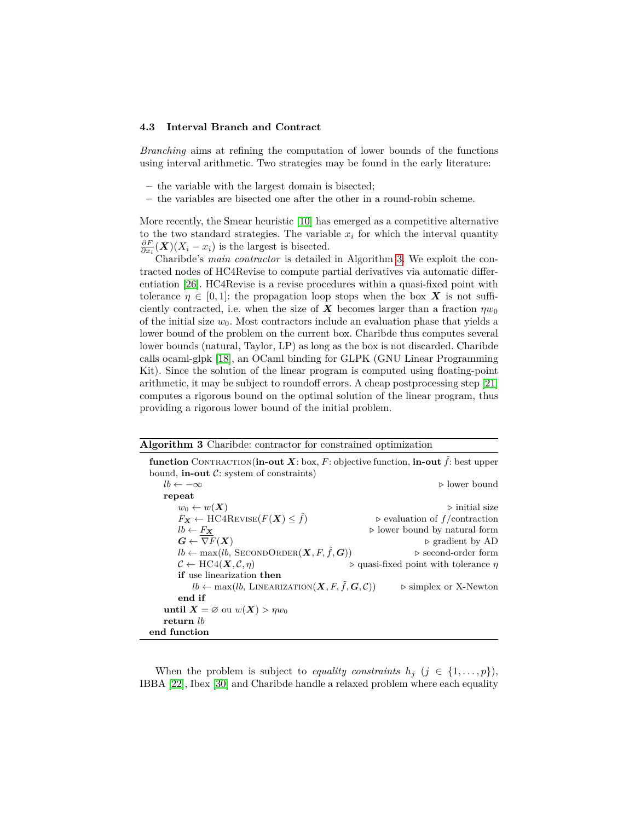#### **4.3 Interval Branch and Contract**

*Branching* aims at refining the computation of lower bounds of the functions using interval arithmetic. Two strategies may be found in the early literature:

- **–** the variable with the largest domain is bisected;
- **–** the variables are bisected one after the other in a round-robin scheme.

More recently, the Smear heuristic [10] has emerged as a competitive alternative to the two standard strategies. The variable  $x_i$  for which the interval quantity  $\frac{\partial F}{\partial x_i}(\mathbf{X})(X_i - x_i)$  is the largest is bisected.

Charibde's *main contractor* is detailed in Algorithm 3. We exploit the contracted nodes of HC4Revise to compute partial derivatives via automatic differentiation [26]. HC4Revise is a revise procedures within a quasi-fixed point with tolerance  $\eta \in [0,1]$ : the propagation loop stops when the box X is not sufficiently contracted, i.e. when the size of **X** becomes larger than a fraction  $\eta w_0$ of the initial size  $w_0$ . Most contractors include an evaluation phase that yields a lower bound of the problem on the current box. Charibde thus computes several lower bounds (natural, Taylor, LP) as long as the box is not discarded. Charibde calls ocaml-glpk [18], an OCaml binding for GLPK (GNU Linear Programming Kit). Since the solution of the linear program is computed using floating-point arithmetic, it may be subject to roundoff errors. A cheap postprocessing step [21] computes a rigorous bound on the optimal solution of the linear program, thus providing a rigorous lower bound of the initial problem.

| Algorithm 3 Charibde: contractor for constrained optimization |  |  |  |
|---------------------------------------------------------------|--|--|--|
|                                                               |  |  |  |

| <b>function</b> CONTRACTION( <b>in-out X</b> : box, F: objective function, <b>in-out</b> $\tilde{f}$ : best upper |                                                          |
|-------------------------------------------------------------------------------------------------------------------|----------------------------------------------------------|
| bound, <b>in-out</b> $C$ : system of constraints)                                                                 |                                                          |
| $lb \leftarrow -\infty$                                                                                           | $\triangleright$ lower bound                             |
| repeat                                                                                                            |                                                          |
| $w_0 \leftarrow w(\boldsymbol{X})$                                                                                | $\triangleright$ initial size                            |
| $F_{\mathbf{X}} \leftarrow \text{HC4REVISE}(F(\mathbf{X}) \leq \tilde{f})$                                        | $\triangleright$ evaluation of f/contraction             |
| $lb \leftarrow F_{\mathbf{X}}$                                                                                    | $\triangleright$ lower bound by natural form             |
| $G \leftarrow \nabla F(X)$                                                                                        | $\triangleright$ gradient by AD                          |
| $lb \leftarrow \max(lb, \text{ SECONDORDER}(\boldsymbol{X}, F, \tilde{f}, \boldsymbol{G}))$                       | $\triangleright$ second-order form                       |
| $\mathcal{C} \leftarrow \text{HC4}(\mathbf{X}, \mathcal{C}, \eta)$                                                | $\triangleright$ quasi-fixed point with tolerance $\eta$ |
| <b>if</b> use linearization <b>then</b>                                                                           |                                                          |
| $lb \leftarrow \max(lb, \text{ LINEARIZATION}(\boldsymbol{X}, F, \tilde{f}, \boldsymbol{G}, \mathcal{C}))$        | $\triangleright$ simplex or X-Newton                     |
| end if                                                                                                            |                                                          |
| until $X = \emptyset$ ou $w(X) > \eta w_0$                                                                        |                                                          |
| return lb                                                                                                         |                                                          |
| end function                                                                                                      |                                                          |

When the problem is subject to *equality constraints*  $h_j$  ( $j \in \{1, \ldots, p\}$ ), IBBA [22], Ibex [30] and Charibde handle a relaxed problem where each equality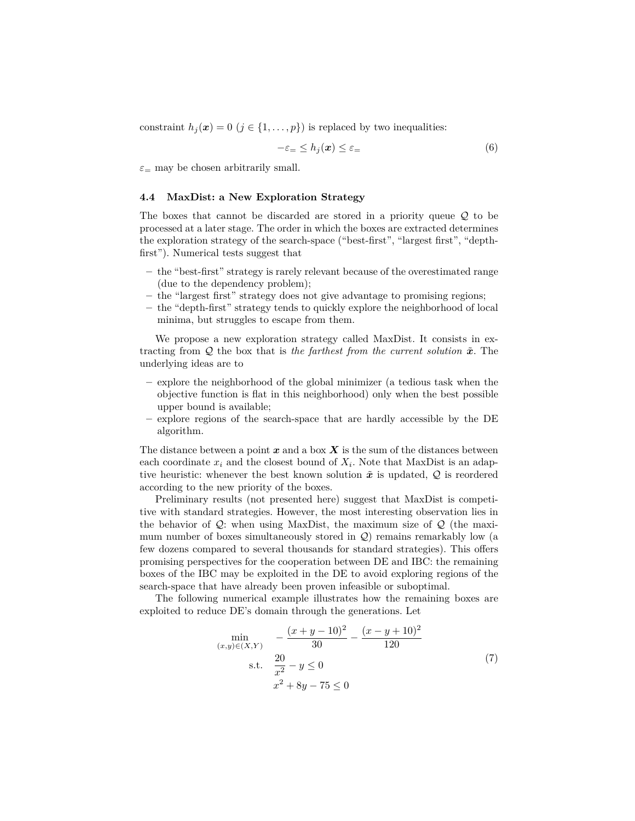constraint  $h_j(\mathbf{x}) = 0$  ( $j \in \{1, \ldots, p\}$ ) is replaced by two inequalities:

$$
-\varepsilon_{=} \le h_j(\boldsymbol{x}) \le \varepsilon_{=} \tag{6}
$$

*ε*<sup>=</sup> may be chosen arbitrarily small.

#### **4.4 MaxDist: a New Exploration Strategy**

The boxes that cannot be discarded are stored in a priority queue Q to be processed at a later stage. The order in which the boxes are extracted determines the exploration strategy of the search-space ("best-first", "largest first", "depthfirst"). Numerical tests suggest that

- **–** the "best-first" strategy is rarely relevant because of the overestimated range (due to the dependency problem);
- **–** the "largest first" strategy does not give advantage to promising regions;
- **–** the "depth-first" strategy tends to quickly explore the neighborhood of local minima, but struggles to escape from them.

We propose a new exploration strategy called MaxDist. It consists in extracting from  $Q$  the box that is *the farthest from the current solution*  $\tilde{x}$ . The underlying ideas are to

- **–** explore the neighborhood of the global minimizer (a tedious task when the objective function is flat in this neighborhood) only when the best possible upper bound is available;
- **–** explore regions of the search-space that are hardly accessible by the DE algorithm.

The distance between a point *x* and a box *X* is the sum of the distances between each coordinate  $x_i$  and the closest bound of  $X_i$ . Note that MaxDist is an adaptive heuristic: whenever the best known solution  $\tilde{x}$  is updated,  $Q$  is reordered according to the new priority of the boxes.

Preliminary results (not presented here) suggest that MaxDist is competitive with standard strategies. However, the most interesting observation lies in the behavior of  $\mathcal{Q}$ : when using MaxDist, the maximum size of  $\mathcal{Q}$  (the maximum number of boxes simultaneously stored in  $\mathcal{Q}$ ) remains remarkably low (a few dozens compared to several thousands for standard strategies). This offers promising perspectives for the cooperation between DE and IBC: the remaining boxes of the IBC may be exploited in the DE to avoid exploring regions of the search-space that have already been proven infeasible or suboptimal.

The following numerical example illustrates how the remaining boxes are exploited to reduce DE's domain through the generations. Let

$$
\min_{(x,y)\in(X,Y)} \quad -\frac{(x+y-10)^2}{30} - \frac{(x-y+10)^2}{120}
$$
\n
$$
\text{s.t.} \quad \frac{20}{x^2} - y \le 0
$$
\n
$$
x^2 + 8y - 75 \le 0
$$
\n(7)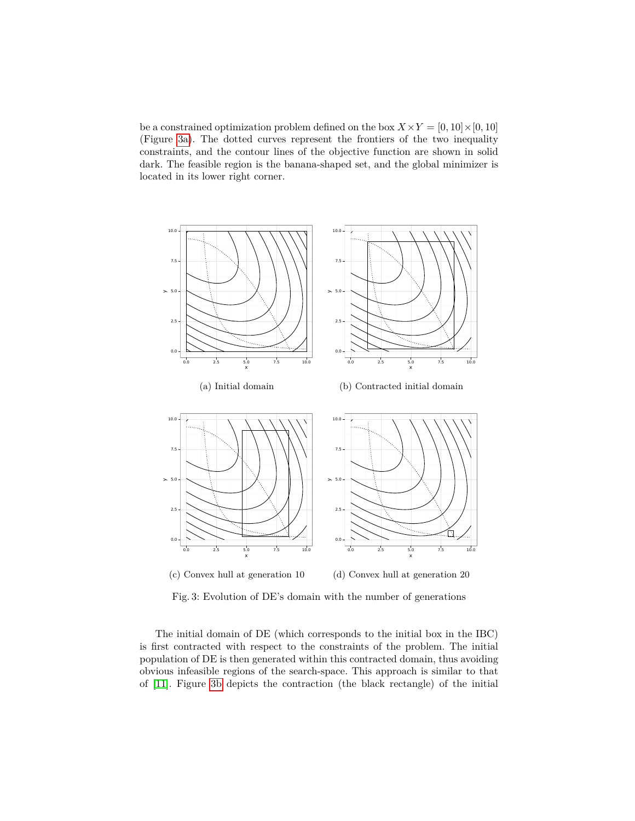be a constrained optimization problem defined on the box  $X \times Y = [0, 10] \times [0, 10]$ (Figure 3a). The dotted curves represent the frontiers of the two inequality constraints, and the contour lines of the objective function are shown in solid dark. The feasible region is the banana-shaped set, and the global minimizer is located in its lower right corner.



Fig. 3: Evolution of DE's domain with the number of generations

The initial domain of DE (which corresponds to the initial box in the IBC) is first contracted with respect to the constraints of the problem. The initial population of DE is then generated within this contracted domain, thus avoiding obvious infeasible regions of the search-space. This approach is similar to that of [11]. Figure 3b depicts the contraction (the black rectangle) of the initial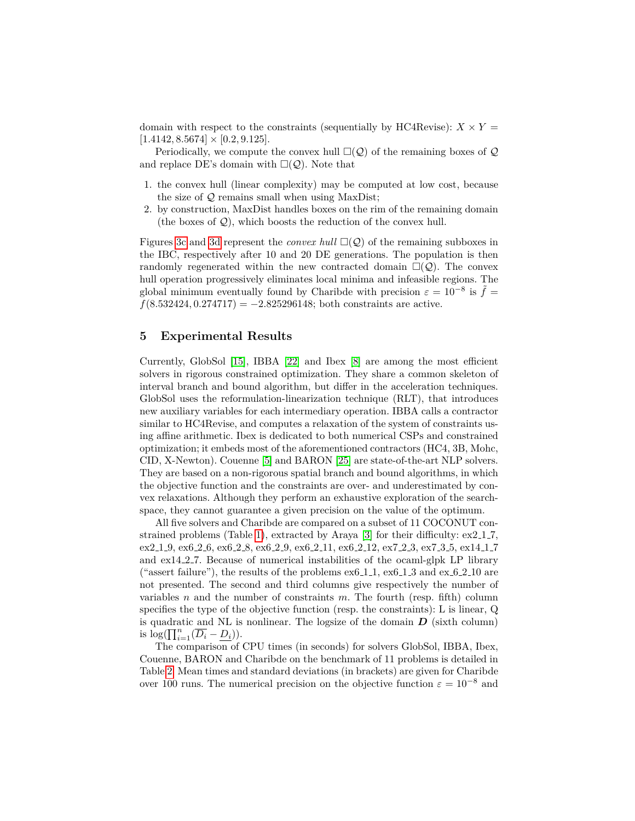domain with respect to the constraints (sequentially by HC4Revise):  $X \times Y =$  $[1.4142, 8.5674] \times [0.2, 9.125].$ 

Periodically, we compute the convex hull  $\square(\mathcal{Q})$  of the remaining boxes of  $\mathcal Q$ and replace DE's domain with  $\square(\mathcal{Q})$ . Note that

- 1. the convex hull (linear complexity) may be computed at low cost, because the size of Q remains small when using MaxDist;
- 2. by construction, MaxDist handles boxes on the rim of the remaining domain (the boxes of  $Q$ ), which boosts the reduction of the convex hull.

Figures 3c and 3d represent the *convex hull*  $\square(\mathcal{Q})$  of the remaining subboxes in the IBC, respectively after 10 and 20 DE generations. The population is then randomly regenerated within the new contracted domain  $\square(\mathcal{Q})$ . The convex hull operation progressively eliminates local minima and infeasible regions. The global minimum eventually found by Charibde with precision  $\varepsilon = 10^{-8}$  is  $\tilde{f} =$ *f*(8*.*532424*,* 0*.*274717) = −2*.*825296148; both constraints are active.

# **5 Experimental Results**

Currently, GlobSol [15], IBBA [22] and Ibex [8] are among the most efficient solvers in rigorous constrained optimization. They share a common skeleton of interval branch and bound algorithm, but differ in the acceleration techniques. GlobSol uses the reformulation-linearization technique (RLT), that introduces new auxiliary variables for each intermediary operation. IBBA calls a contractor similar to HC4Revise, and computes a relaxation of the system of constraints using affine arithmetic. Ibex is dedicated to both numerical CSPs and constrained optimization; it embeds most of the aforementioned contractors (HC4, 3B, Mohc, CID, X-Newton). Couenne [5] and BARON [25] are state-of-the-art NLP solvers. They are based on a non-rigorous spatial branch and bound algorithms, in which the objective function and the constraints are over- and underestimated by convex relaxations. Although they perform an exhaustive exploration of the searchspace, they cannot guarantee a given precision on the value of the optimum.

All five solvers and Charibde are compared on a subset of 11 COCONUT constrained problems (Table 1), extracted by Araya [3] for their difficulty: ex2\_1\_7, ex2.1.9, ex6.2.6, ex6.2.8, ex6.2.9, ex6.2.11, ex6.2.12, ex7.2.3, ex7.3.5, ex14.1.7 and  $ex14.2.7$ . Because of numerical instabilities of the ocaml-glpk LP library ("assert failure"), the results of the problems  $ex6.1.1$ ,  $ex6.1.3$  and  $ex6.2.10$  are not presented. The second and third columns give respectively the number of variables *n* and the number of constraints *m*. The fourth (resp. fifth) column specifies the type of the objective function (resp. the constraints): L is linear, Q is quadratic and NL is nonlinear. The logsize of the domain  $D$  (sixth column) is  $log(\prod_{i=1}^{n}(\overline{D_i}-\underline{D_i}))$ .

The comparison of CPU times (in seconds) for solvers GlobSol, IBBA, Ibex, Couenne, BARON and Charibde on the benchmark of 11 problems is detailed in Table 2. Mean times and standard deviations (in brackets) are given for Charibde over 100 runs. The numerical precision on the objective function  $\varepsilon = 10^{-8}$  and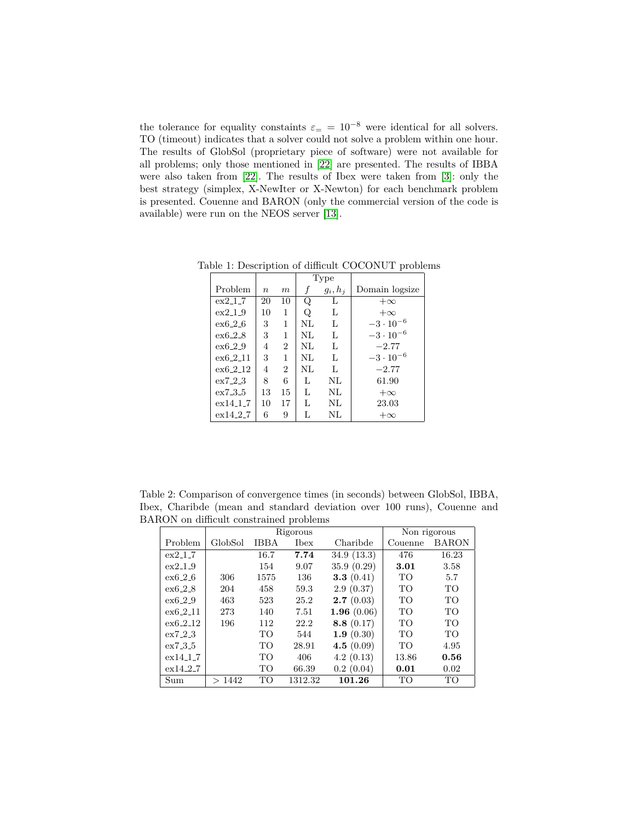the tolerance for equality constaints  $\varepsilon = 10^{-8}$  were identical for all solvers. TO (timeout) indicates that a solver could not solve a problem within one hour. The results of GlobSol (proprietary piece of software) were not available for all problems; only those mentioned in [22] are presented. The results of IBBA were also taken from [22]. The results of Ibex were taken from [3]: only the best strategy (simplex, X-NewIter or X-Newton) for each benchmark problem is presented. Couenne and BARON (only the commercial version of the code is available) were run on the NEOS server [13].

|           |                  |                | Type |            |                    |
|-----------|------------------|----------------|------|------------|--------------------|
| Problem   | $\boldsymbol{n}$ | m              |      | $g_i, h_j$ | Domain logsize     |
| $ex2-1-7$ | 20               | 10             | Q    | L          | $+\infty$          |
| ex219     | 10               | 1              | Q    | L          | $+\infty$          |
| ex6.2.6   | 3                | 1              | NL   | L          | $-3 \cdot 10^{-6}$ |
| $ex6-2-8$ | 3                | 1              | NI   | L          | $-3 \cdot 10^{-6}$ |
| $ex6-2-9$ | 4                | $\overline{2}$ | NI   | L          | $-2.77$            |
| ex6.2.11  | 3                | 1              | NI   | L          | $-3 \cdot 10^{-6}$ |
| ex6.2.12  | 4                | $\overline{2}$ | NI   | L          | $-2.77$            |
| ex7.2.3   | 8                | 6              | L    | NL         | 61.90              |
| ex7.3.5   | 13               | 15             | L    | NL         | $+\infty$          |
| ex14.1.7  | 10               | 17             | L    | NL         | 23.03              |
| ex14.2.7  | 6                | 9              | L    | NL         | $+\infty$          |

Table 1: Description of difficult COCONUT problems

Table 2: Comparison of convergence times (in seconds) between GlobSol, IBBA, Ibex, Charibde (mean and standard deviation over 100 runs), Couenne and BARON on difficult constrained problems

|                 | Rigorous |             |         | Non rigorous  |                 |              |
|-----------------|----------|-------------|---------|---------------|-----------------|--------------|
| Problem         | GlobSol  | <b>IBBA</b> | Ibex    | Charibde      | Couenne         | <b>BARON</b> |
| $ex2_{-}1_{-}7$ |          | 16.7        | 7.74    | 34.9(13.3)    | 476             | 16.23        |
| $ex2-1.9$       |          | 154         | 9.07    | 35.9(0.29)    | 3.01            | 3.58         |
| ex6.2.6         | 306      | 1575        | 136     | 3.3 $(0.41)$  | TO <sub>1</sub> | 5.7          |
| ex6.2.8         | 204      | 458         | 59.3    | 2.9(0.37)     | TO              | TO           |
| ex6.2.9         | 463      | 523         | 25.2    | 2.7(0.03)     | TO              | <b>TO</b>    |
| $ex6-2-11$      | 273      | 140         | 7.51    | 1.96 $(0.06)$ | TO              | <b>TO</b>    |
| $ex6-2-12$      | 196      | 112         | 22.2    | 8.8 $(0.17)$  | TO              | <b>TO</b>    |
| ex7.2.3         |          | <b>ТО</b>   | 544     | 1.9(0.30)     | <b>TO</b>       | <b>TO</b>    |
| ex7.3.5         |          | TO          | 28.91   | 4.5 $(0.09)$  | TO              | 4.95         |
| ex14.1.7        |          | TO          | 406     | 4.2(0.13)     | 13.86           | 0.56         |
| ex14.2.7        |          | <b>ТО</b>   | 66.39   | 0.2(0.04)     | 0.01            | 0.02         |
| Sum             | >1442    | TO          | 1312.32 | 101.26        | TO              | TO           |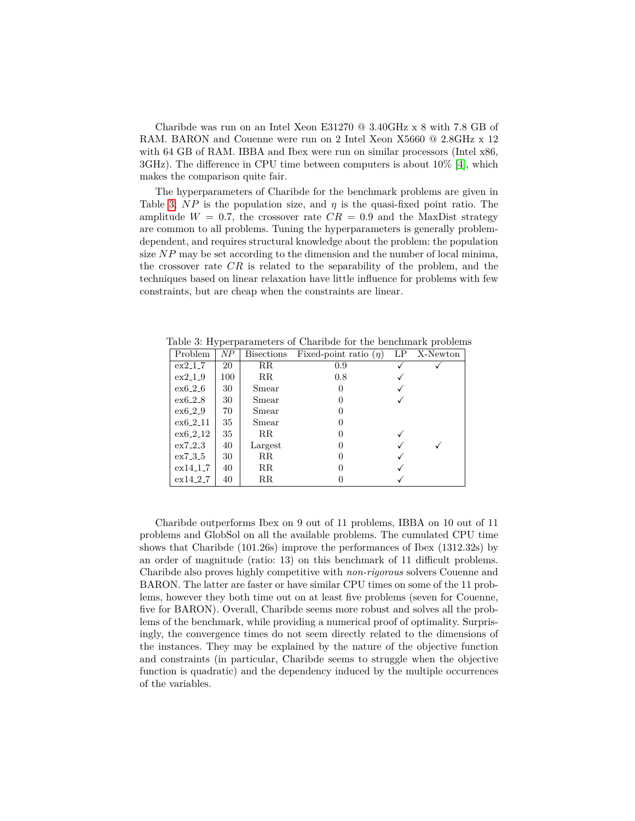Charibde was run on an Intel Xeon E31270 @ 3.40GHz x 8 with 7.8 GB of RAM. BARON and Couenne were run on 2 Intel Xeon X5660 @ 2.8GHz x 12 with 64 GB of RAM. IBBA and Ibex were run on similar processors (Intel  $x86$ , 3GHz). The difference in CPU time between computers is about 10% [4], which makes the comparison quite fair.

The hyperparameters of Charibde for the benchmark problems are given in Table 3;  $NP$  is the population size, and  $\eta$  is the quasi-fixed point ratio. The amplitude  $W = 0.7$ , the crossover rate  $CR = 0.9$  and the MaxDist strategy are common to all problems. Tuning the hyperparameters is generally problemdependent, and requires structural knowledge about the problem: the population size *NP* may be set according to the dimension and the number of local minima, the crossover rate *CR* is related to the separability of the problem, and the techniques based on linear relaxation have little influence for problems with few constraints, but are cheap when the constraints are linear.

Table 3: Hyperparameters of Charibde for the benchmark problems

| Problem   | ΝP  | <b>Bisections</b> | Fixed-point ratio $(\eta)$ | LP | X-Newton |
|-----------|-----|-------------------|----------------------------|----|----------|
| $ex2-1-7$ | 20  | $_{\rm RR}$       | 0.9                        |    |          |
| ex2.1.9   | 100 | $_{\rm RR}$       | 0.8                        |    |          |
| $ex6-2-6$ | 30  | Smear             | $\theta$                   |    |          |
| $ex6-2.8$ | 30  | Smear             | $\theta$                   |    |          |
| $ex6-2-9$ | 70  | Smear             | $\Omega$                   |    |          |
| ex6.2.11  | 35  | Smear             | $\Omega$                   |    |          |
| ex6.2.12  | 35  | $_{\rm RR}$       | $\Omega$                   |    |          |
| ex7.2.3   | 40  | Largest           | $\Omega$                   |    |          |
| ex7.3.5   | 30  | $_{\rm RR}$       |                            |    |          |
| ex14.1.7  | 40  | $_{\rm RR}$       |                            |    |          |
| ex14.2.7  | 40  | $_{\rm RR}$       |                            |    |          |

Charibde outperforms Ibex on 9 out of 11 problems, IBBA on 10 out of 11 problems and GlobSol on all the available problems. The cumulated CPU time shows that Charibde (101.26s) improve the performances of Ibex (1312.32s) by an order of magnitude (ratio: 13) on this benchmark of 11 difficult problems. Charibde also proves highly competitive with *non-rigorous* solvers Couenne and BARON. The latter are faster or have similar CPU times on some of the 11 problems, however they both time out on at least five problems (seven for Couenne, five for BARON). Overall, Charibde seems more robust and solves all the problems of the benchmark, while providing a numerical proof of optimality. Surprisingly, the convergence times do not seem directly related to the dimensions of the instances. They may be explained by the nature of the objective function and constraints (in particular, Charibde seems to struggle when the objective function is quadratic) and the dependency induced by the multiple occurrences of the variables.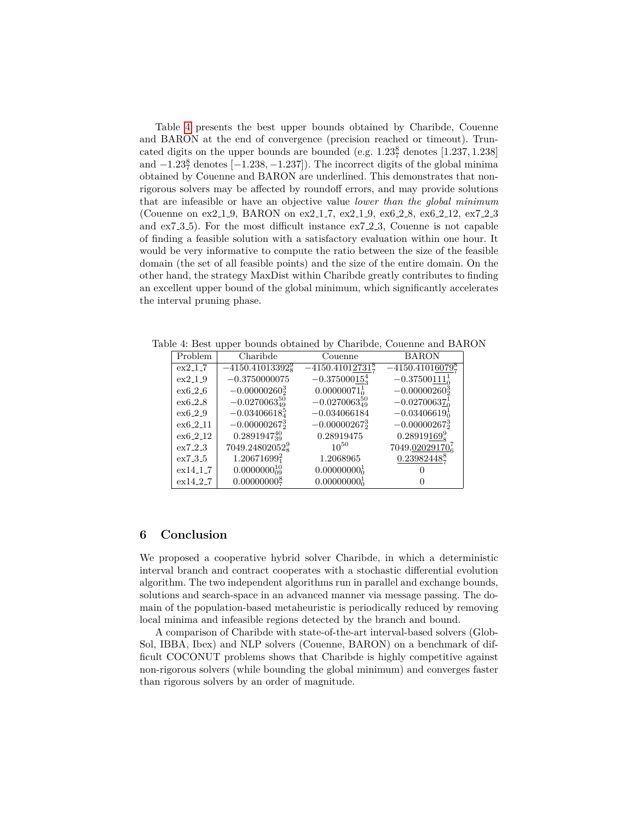Table 4 presents the best upper bounds obtained by Charibde, Couenne and BARON at the end of convergence (precision reached or timeout). Truncated digits on the upper bounds are bounded (e.g. 1*.*23<sup>8</sup> <sup>7</sup> denotes [1*.*237*,* 1*.*238] and −1*.*23<sup>8</sup> <sup>7</sup> denotes [−1*.*238*,* −1*.*237]). The incorrect digits of the global minima obtained by Couenne and BARON are underlined. This demonstrates that nonrigorous solvers may be affected by roundoff errors, and may provide solutions that are infeasible or have an objective value *lower than the global minimum* (Couenne on ex2 1 9, BARON on ex2 1 7, ex2 1 9, ex6 2 8, ex6 2 12, ex7 2 3 and  $ex7.3.5$ ). For the most difficult instance  $ex7.2.3$ , Couenne is not capable of finding a feasible solution with a satisfactory evaluation within one hour. It would be very informative to compute the ratio between the size of the feasible domain (the set of all feasible points) and the size of the entire domain. On the other hand, the strategy MaxDist within Charibde greatly contributes to finding an excellent upper bound of the global minimum, which significantly accelerates the interval pruning phase.

Table 4: Best upper bounds obtained by Charibde, Couenne and BARON

| Problem    | Charibde                   | Couenne                     | <b>BARON</b>                  |
|------------|----------------------------|-----------------------------|-------------------------------|
| ex2.1.7    | $-4150.41013392_{8}^{9}$   | $-4150.41012731\frac{8}{7}$ | $-4150.41016079_7^8$          |
| $ex2-1-9$  | $-0.3750000075$            | $-0.37500015_3^4$           | $-0.37500\underline{111}^1_0$ |
| ex6.2.6    | $-0.00000260_2^3$          | $0.00000071_0^1$            | $-0.00000260_{2}^{3}$         |
| ex6.2.8    | $-0.0270063_{49}^{50}$     | $-0.0270063_{49}^{50}$      | $-0.02700637_0^1$             |
| ex6.2.9    | $-0.03406618_4^5$          | $-0.034066184$              | $-0.03406619_0^1$             |
| $ex6-2-11$ | $-0.00000267_2^3$          | $-0.00000267_2^3$           | $-0.00000267_2^3$             |
| ex6.2.12   | $0.2891947_{39}^{40}$      | 0.28919475                  | $0.28919169_8^9$              |
| ex7.2.3    | 7049.24802052 <sup>9</sup> | $10^{50}$                   | $7049.02029170_6^7$           |
| ex7.3.5    | $1.20671699_1^2$           | 1.2068965                   | $0.23982448$ <sup>8</sup>     |
| ex14.1.7   | $0.0000000_{09}^{10}$      | $0.00000000_0^1$            |                               |
| ex14.2.7   | $0.00000000\frac{8}{7}$    | $0.00000000_0^1$            |                               |

## **6 Conclusion**

We proposed a cooperative hybrid solver Charibde, in which a deterministic interval branch and contract cooperates with a stochastic differential evolution algorithm. The two independent algorithms run in parallel and exchange bounds, solutions and search-space in an advanced manner via message passing. The domain of the population-based metaheuristic is periodically reduced by removing local minima and infeasible regions detected by the branch and bound.

A comparison of Charibde with state-of-the-art interval-based solvers (Glob-Sol, IBBA, Ibex) and NLP solvers (Couenne, BARON) on a benchmark of difficult COCONUT problems shows that Charibde is highly competitive against non-rigorous solvers (while bounding the global minimum) and converges faster than rigorous solvers by an order of magnitude.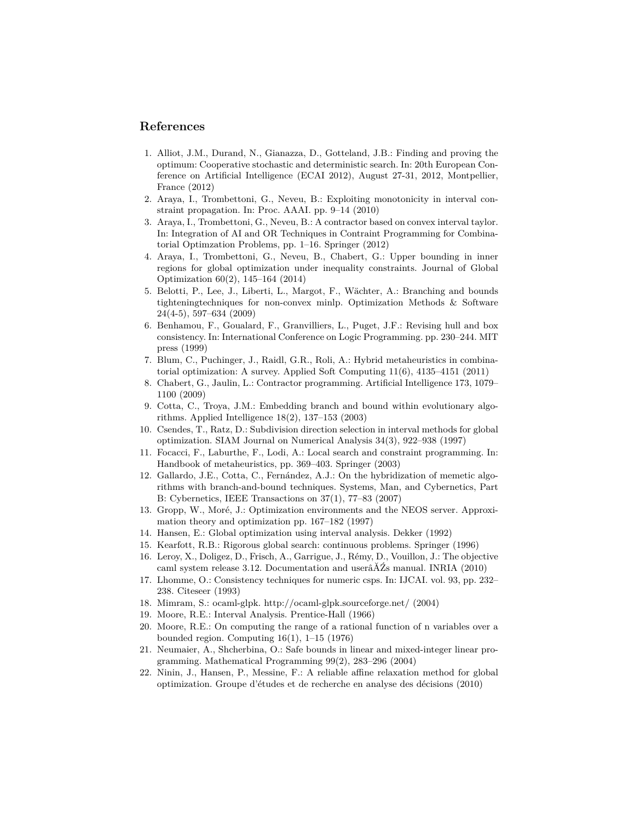# **References**

- 1. Alliot, J.M., Durand, N., Gianazza, D., Gotteland, J.B.: Finding and proving the optimum: Cooperative stochastic and deterministic search. In: 20th European Conference on Artificial Intelligence (ECAI 2012), August 27-31, 2012, Montpellier, France (2012)
- 2. Araya, I., Trombettoni, G., Neveu, B.: Exploiting monotonicity in interval constraint propagation. In: Proc. AAAI. pp. 9–14 (2010)
- 3. Araya, I., Trombettoni, G., Neveu, B.: A contractor based on convex interval taylor. In: Integration of AI and OR Techniques in Contraint Programming for Combinatorial Optimzation Problems, pp. 1–16. Springer (2012)
- 4. Araya, I., Trombettoni, G., Neveu, B., Chabert, G.: Upper bounding in inner regions for global optimization under inequality constraints. Journal of Global Optimization 60(2), 145–164 (2014)
- 5. Belotti, P., Lee, J., Liberti, L., Margot, F., Wächter, A.: Branching and bounds tighteningtechniques for non-convex minlp. Optimization Methods & Software 24(4-5), 597–634 (2009)
- 6. Benhamou, F., Goualard, F., Granvilliers, L., Puget, J.F.: Revising hull and box consistency. In: International Conference on Logic Programming. pp. 230–244. MIT press (1999)
- 7. Blum, C., Puchinger, J., Raidl, G.R., Roli, A.: Hybrid metaheuristics in combinatorial optimization: A survey. Applied Soft Computing 11(6), 4135–4151 (2011)
- 8. Chabert, G., Jaulin, L.: Contractor programming. Artificial Intelligence 173, 1079– 1100 (2009)
- 9. Cotta, C., Troya, J.M.: Embedding branch and bound within evolutionary algorithms. Applied Intelligence 18(2), 137–153 (2003)
- 10. Csendes, T., Ratz, D.: Subdivision direction selection in interval methods for global optimization. SIAM Journal on Numerical Analysis 34(3), 922–938 (1997)
- 11. Focacci, F., Laburthe, F., Lodi, A.: Local search and constraint programming. In: Handbook of metaheuristics, pp. 369–403. Springer (2003)
- 12. Gallardo, J.E., Cotta, C., Fernández, A.J.: On the hybridization of memetic algorithms with branch-and-bound techniques. Systems, Man, and Cybernetics, Part B: Cybernetics, IEEE Transactions on 37(1), 77–83 (2007)
- 13. Gropp, W., Moré, J.: Optimization environments and the NEOS server. Approximation theory and optimization pp. 167–182 (1997)
- 14. Hansen, E.: Global optimization using interval analysis. Dekker (1992)
- 15. Kearfott, R.B.: Rigorous global search: continuous problems. Springer (1996)
- 16. Leroy, X., Doligez, D., Frisch, A., Garrigue, J., R´emy, D., Vouillon, J.: The objective caml system release 3.12. Documentation and userâĂŹs manual. INRIA (2010)
- 17. Lhomme, O.: Consistency techniques for numeric csps. In: IJCAI. vol. 93, pp. 232– 238. Citeseer (1993)
- 18. Mimram, S.: ocaml-glpk. http://ocaml-glpk.sourceforge.net/ (2004)
- 19. Moore, R.E.: Interval Analysis. Prentice-Hall (1966)
- 20. Moore, R.E.: On computing the range of a rational function of n variables over a bounded region. Computing  $16(1)$ ,  $1-15$  (1976)
- 21. Neumaier, A., Shcherbina, O.: Safe bounds in linear and mixed-integer linear programming. Mathematical Programming 99(2), 283–296 (2004)
- 22. Ninin, J., Hansen, P., Messine, F.: A reliable affine relaxation method for global optimization. Groupe d'´etudes et de recherche en analyse des d´ecisions (2010)